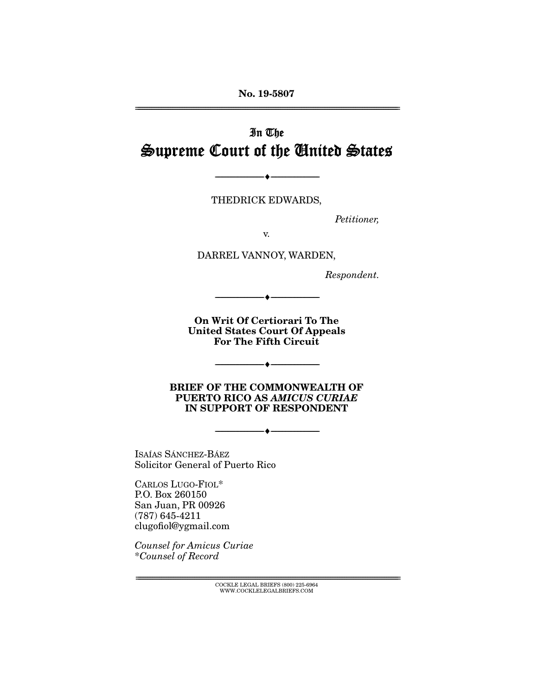**No. 19-5807** 

# In The Supreme Court of the United States

THEDRICK EDWARDS,

 $\overbrace{\hspace{27mm}}$   $\overbrace{\hspace{27mm}}$ 

Petitioner,

DARREL VANNOY, WARDEN,

Respondent.

**On Writ Of Certiorari To The United States Court Of Appeals For The Fifth Circuit** 

 $\overbrace{\hspace{2.5cm}}^{\bullet}$   $\overbrace{\hspace{2.5cm}}^{\bullet}$ 

 $\overbrace{\hspace{27mm}}$   $\overbrace{\hspace{27mm}}$ 

**BRIEF OF THE COMMONWEALTH OF PUERTO RICO AS** *AMICUS CURIAE*  **IN SUPPORT OF RESPONDENT** 

--------------------------------- ♦ ---------------------------------

ISAÍAS SÁNCHEZ-BÁEZ<br>Solicitor General of Puerto Rico Solicitor General of Puerto Rico

CARLOS LUGO-FIOL\*<br>P.O. Box 260150 San Juan, PR 00926  $(787)$  645-4211  $_{\rm clup}$  $_{\rm ch}$ n $_{\rm d}$ a $_{\rm d}$  $\epsilon$  complex  $\epsilon$ 

Counsel for Amicus Curiae \*Counsel of Record

> $\text{COCKLE LEGAL BRIEFS}$  (800) 225-6964 WWW.COCKLELEGALBRIEFS.COM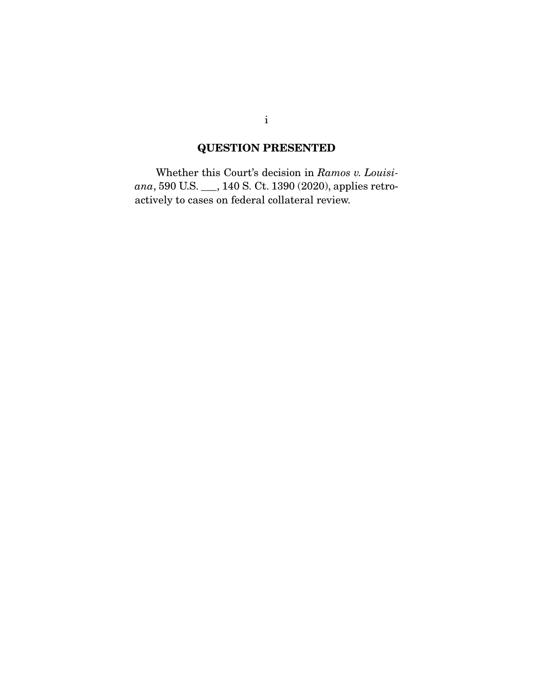# **QUESTION PRESENTED**

 Whether this Court's decision in Ramos v. Louisiana, 590 U.S. \_\_\_, 140 S. Ct. 1390 (2020), applies retroactively to cases on federal collateral review.

i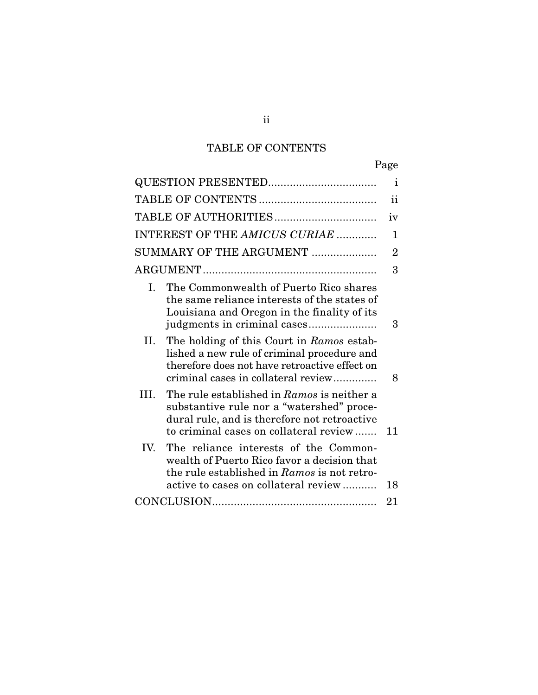## TABLE OF CONTENTS

|                                                                                                                                                                                          | r unv          |
|------------------------------------------------------------------------------------------------------------------------------------------------------------------------------------------|----------------|
|                                                                                                                                                                                          | $\mathbf{i}$   |
|                                                                                                                                                                                          | ii             |
|                                                                                                                                                                                          | iv             |
| INTEREST OF THE AMICUS CURIAE                                                                                                                                                            | 1              |
| SUMMARY OF THE ARGUMENT                                                                                                                                                                  | $\overline{2}$ |
|                                                                                                                                                                                          | 3              |
| The Commonwealth of Puerto Rico shares<br>L.<br>the same reliance interests of the states of<br>Louisiana and Oregon in the finality of its                                              | 3              |
| The holding of this Court in Ramos estab-<br>П.<br>lished a new rule of criminal procedure and<br>therefore does not have retroactive effect on<br>criminal cases in collateral review   | 8              |
| The rule established in Ramos is neither a<br>HI.<br>substantive rule nor a "watershed" proce-<br>dural rule, and is therefore not retroactive<br>to criminal cases on collateral review | 11             |
| IV.<br>The reliance interests of the Common-<br>wealth of Puerto Rico favor a decision that<br>the rule established in Ramos is not retro-<br>active to cases on collateral review       | 18             |
|                                                                                                                                                                                          | 21             |
|                                                                                                                                                                                          |                |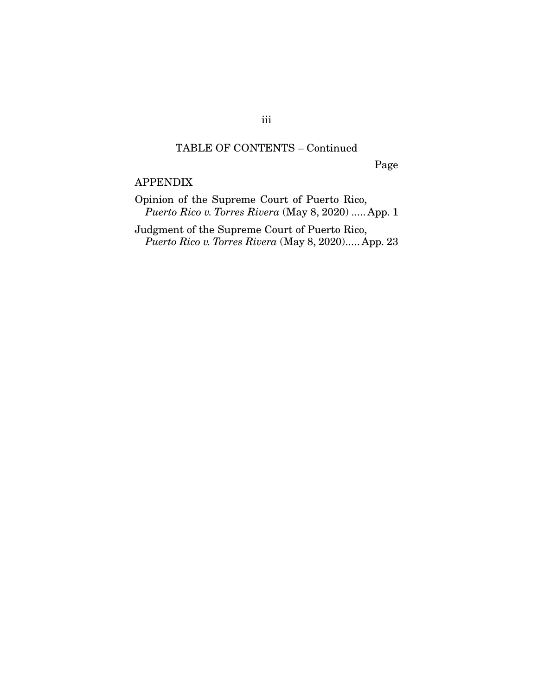#### TABLE OF CONTENTS – Continued

Page

APPENDIX<br>Opinion of the Supreme Court of Puerto Rico, Puerto Rico v. Torres Rivera (May 8, 2020) ..... App. 1

Puerto Rico v. Torres Rivera (May 8, 2020)..... App. 23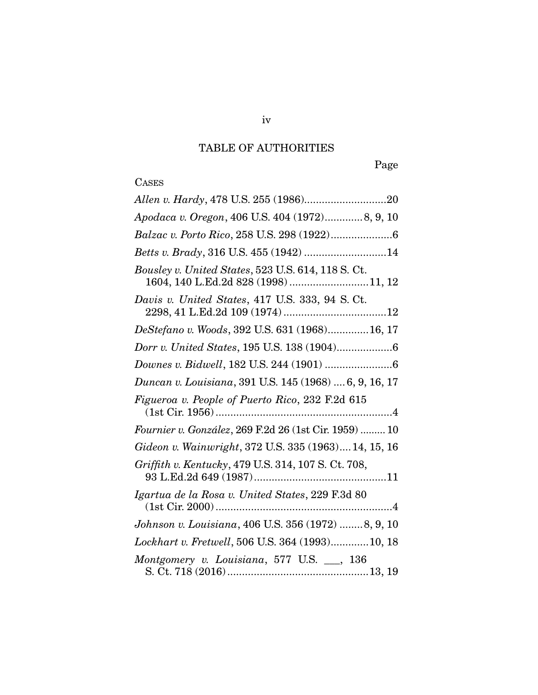## TABLE OF AUTHORITIES

Page

# **CASES**

| Apodaca v. Oregon, 406 U.S. 404 (1972) 8, 9, 10                                           |
|-------------------------------------------------------------------------------------------|
|                                                                                           |
| Betts v. Brady, 316 U.S. 455 (1942) 14                                                    |
| Bousley v. United States, 523 U.S. 614, 118 S. Ct.<br>1604, 140 L.Ed.2d 828 (1998) 11, 12 |
| Davis v. United States, 417 U.S. 333, 94 S. Ct.                                           |
| DeStefano v. Woods, 392 U.S. 631 (1968) 16, 17                                            |
|                                                                                           |
|                                                                                           |
| Duncan v. Louisiana, 391 U.S. 145 (1968)  6, 9, 16, 17                                    |
| Figueroa v. People of Puerto Rico, 232 F.2d 615                                           |
|                                                                                           |
| Fournier v. González, 269 F.2d 26 (1st Cir. 1959)  10                                     |
| Gideon v. Wainwright, 372 U.S. 335 (1963) 14, 15, 16                                      |
| Griffith v. Kentucky, 479 U.S. 314, 107 S. Ct. 708,                                       |
| Igartua de la Rosa v. United States, 229 F.3d 80                                          |
| Johnson v. Louisiana, 406 U.S. 356 (1972) 8, 9, 10                                        |
| Lockhart v. Fretwell, 506 U.S. 364 (1993) 10, 18                                          |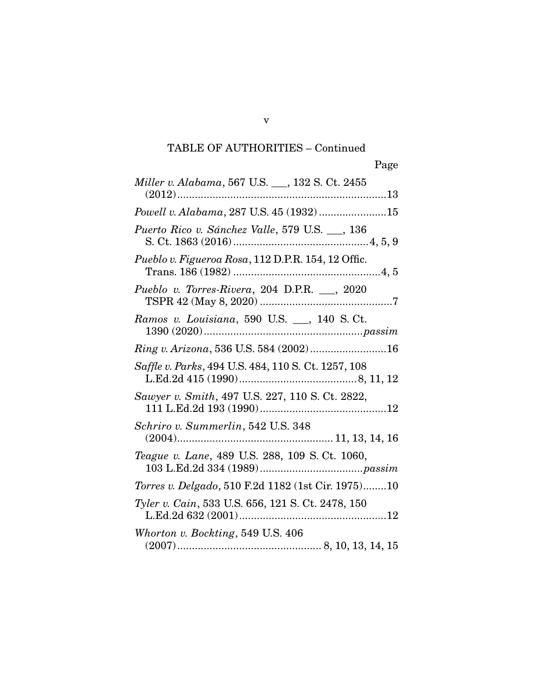## TABLE OF AUTHORITIES – Continued

| Miller v. Alabama, 567 U.S. __, 132 S. Ct. 2455     |
|-----------------------------------------------------|
| Powell v. Alabama, 287 U.S. 45 (1932)15             |
| Puerto Rico v. Sánchez Valle, 579 U.S. __, 136      |
| Pueblo v. Figueroa Rosa, 112 D.P.R. 154, 12 Offic.  |
| Pueblo v. Torres-Rivera, 204 D.P.R. __, 2020        |
| Ramos v. Louisiana, 590 U.S. __, 140 S.Ct.          |
| Ring v. Arizona, 536 U.S. 584 (2002)16              |
| Saffle v. Parks, 494 U.S. 484, 110 S. Ct. 1257, 108 |
| Sawyer v. Smith, 497 U.S. 227, 110 S. Ct. 2822,     |
| Schriro v. Summerlin, 542 U.S. 348                  |
| Teague v. Lane, 489 U.S. 288, 109 S. Ct. 1060,      |
| Torres v. Delgado, 510 F.2d 1182 (1st Cir. 1975)10  |
| Tyler v. Cain, 533 U.S. 656, 121 S. Ct. 2478, 150   |
| Whorton v. Bockting, 549 U.S. 406                   |
|                                                     |

(2007) ................................................. 8, 10, 13, 14, 15

v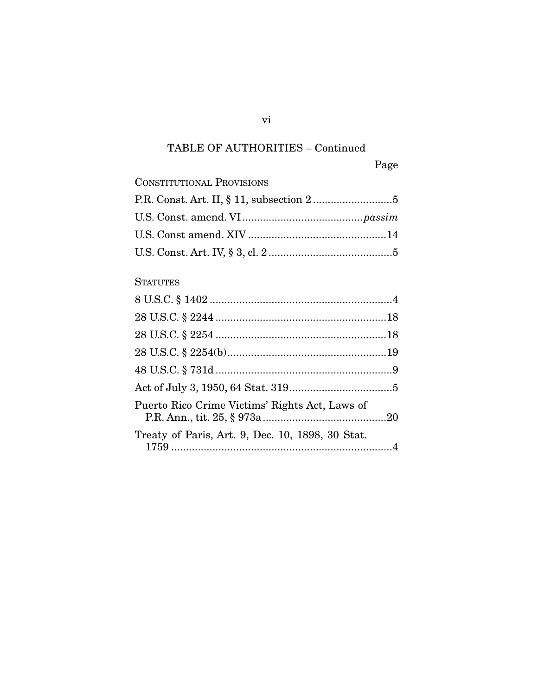# TABLE OF AUTHORITIES – Continued

Page

| <b>CONSTITUTIONAL PROVISIONS</b> |  |
|----------------------------------|--|
|                                  |  |
|                                  |  |
|                                  |  |
|                                  |  |
|                                  |  |

## **STATUTES**

| Puerto Rico Crime Victims' Rights Act, Laws of   |  |
|--------------------------------------------------|--|
| Treaty of Paris, Art. 9, Dec. 10, 1898, 30 Stat. |  |

vi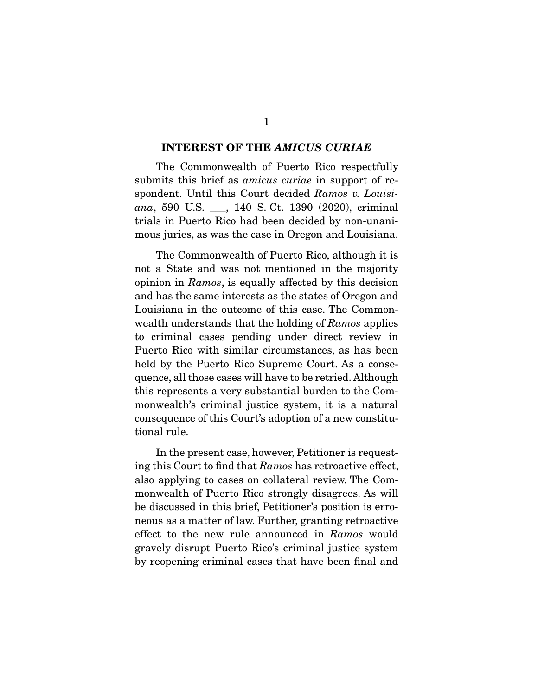#### **INTEREST OF THE** *AMICUS CURIAE*

submits this brief as *amicus curiae* in support of respondent. Until this Court decided Ramos v. Louisiana, 590 U.S.  $\_\_$ , 140 S. Ct. 1390 (2020), criminal trials in Puerto Rico had been decided by non-unanitrials in Puerto Rico and the Second by non-unani-uncertainty mous juries, as was the case in Oregon and Louisiana.

The Commonwealth of Puerto Rico, although it is<br>not a State and was not mentioned in the majority opinion in Ramos, is equally affected by this decision<br>and has the same interests as the states of Oregon and and has the same interests as the states of Oregon and  $\Box$  can be outcome of the common-common-<br>wealth understands that the holding of Ramos applies to criminal cases pending under direct review in held by the Puerto Rico Supreme Court. As a consequence, all those cases will have to be retried. Although this represents a very substantial burden to the Commonwealth's criminal justice system, it is a natural  $\frac{1}{2}$  critical determinal justice system, it is a natural  $\frac{1}{2}$  $\frac{1}{\pi}$ consequence of this constitution of a new constitution of a new constitution of a new constituent of a new constituent of  $\frac{1}{\pi}$ tional rule.

ing this Court to find that Ramos has retroactive effect, also applying to cases on collateral review. The Combe discussed in this brief, Petitioner's position is erroneous as a matter of law. Further, granting retroactive effect to the new rule announced in Ramos would gravely disrupt Puerto Rico's criminal justice system  $b$  respecting criminal cases that have been finds and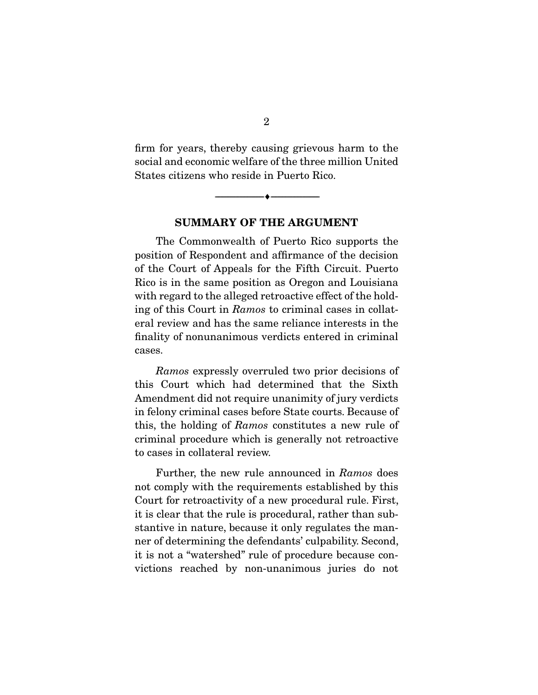firm for years, thereby causing grievous harm to the social and economic welfare of the three million United States citizens who reside in Puerto Rico. States citizens who reside in Puerto Rico.

**SUMMARY OF THE ARGUMENT** 

 $\overbrace{\hspace{2.5cm}}$   $\overbrace{\hspace{2.5cm}}$ 

The Commonwealth of Puerto Rico supports the position of Respondent and affirmance of the decision of the Court of Appeals for the Fifth Circuit. Puerto Rico is in the same position as Oregon and Louisiana with regard to the alleged retroactive effect of the holding of this Court in Ramos to criminal cases in collat-<br>and review and hos the same reliance interests in the eral review and has the same reliance interests in the finality of nonunanimous verdicts entered in criminal cases.

Ramos expressly overruled two prior decisions of<br>this Court which had determined that the Sixth Amendment did not require unanimity of jury verdicts in felony criminal cases before State courts. Because of this, the holding of *Ramos* constitutes a new rule of eximinal procedure which is concrelly net retreastive. criminal procedure which is generally not retroactive to cases in collateral review.

Further, the new rule announced in Ramos does not comply with the requirements established by this Court for retroactivity of a new procedural rule. First, it is clear that the rule is procedural, rather than substantive in nature, because it only regulates the manner of determining the defendants' culpability. Second, it is not a "watershed" rule of procedure because conit is not a "watershed" rule of procedure because convictions reached by non-unanimous juries do not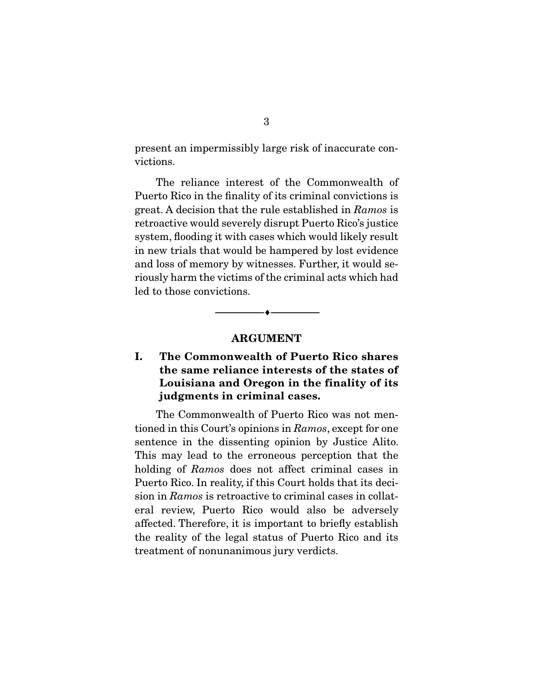present an impermissibly large risk of inaccurate convictions.

The reliance interest of the Commonwealth of Puerto Rico in the finality of its criminal convictions is  $\frac{1}{2}$  great. A decision that the rule established in Ramos is retreative would coverely disrupt Puerte Ricc's justice. retroactive would severely disrupt Puerto Rico's justice in new trials that would be hampered by lost evidence and loss of memory by witnesses. Further, it would seriously harm the victims of the criminal acts which had led to those convictions. led to those convictions.

#### **ARGUMENT**

 $\overbrace{\hspace{2.5cm}}$   $\overbrace{\hspace{2.5cm}}$ 

#### **I. The Commonwealth of Puerto Rico shares the same reliance interests of the states of Louisiana and Oregon in the finality of its judgments in criminal cases.**

tioned in this Court's opinions in Ramos, except for one<br>sontones in the dissenting opinion by Iustice Alite sentence in the dissenting opinion by Justice Alito. holding of Ramos does not affect criminal cases in Fuerto Puerto III reality, in this Court Holds that its deci-<br>sion in Ramos is retroactive to criminal cases in collat-<br>oral review. Puerto, Bico, would also be adversely eral review, Puerto Rico would also be adversely the reality of the legal status of Puerto Rico and its treatment of nonunanimous jury verdicts. treatment of nonunanimous jury verdicts.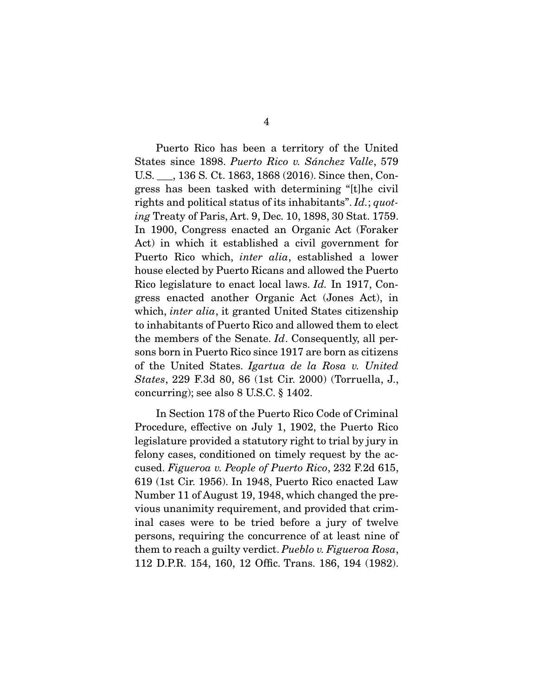States since 1898. Puerto Rico v. Sánchez Valle, 579 U.S. \_\_\_, 136 S. Ct. 1863, 1868 (2016). Since then, Congress has been tasked with determining "[t]he civil rights and political status of its inhabitants". Id.; quot-<br>ing Treaty of Peris, Art. 9, Dec. 10, 1898, 20 Stat. 1759 ing Treaty of Paris, Art. 9, Dec. 10, 1898, 30 Stat. 1759.<br>In 1900, Congress enacted an Organic Act (Foraker Act) in which it established a civil government for Puerto Rico which, *inter alia*, established a lower<br>house elected by Puerte Ricons and ellowed the Puerte Rico legislature to enact local laws. Id. In 1917, Con-<br>gross, anosted, another Organic Act (Japos Act) in which, *inter alia*, it granted United States citizenship<br>to inhabitants of Puerte Rice and allowed them to elect the members of the Senate.  $Id$ . Consequently, all per-<br>sons bern in Puerto Rico since 1917 are bern as eitizens. of the United States. Igartua de la Rosa v. United<br>States. 229 E.24, 80, 86 (1st Cir. 2000) (Torruelle, I States, 229 F.3d 80, 86 (1st Cir. 2000) (Torruella, J., concurring); see also 8 U.S.C. § 1402.

In Section 178 of the Puerto Rico Code of Criminal<br>Procedure, effective on July 1, 1902, the Puerto Rico legislature provided a statutory right to trial by jury in felony cases, conditioned on timely request by the acfelony cases, conditioned on timely request by the ac-<br>cused. Figueroa v. People of Puerto Rico, 232 F.2d 615,<br>619 (1st Cir. 1956). In 1948, Puerto Rico onacted Law 619 (1st Cir. 1956). In 1948, Puerto Rico enacted Law vious unanimity requirement, and provided that criminal cases were to be tried before a jury of twelve persons, requiring the concurrence of at least nine of them to reach a guilty verdict. Pueblo v. Figueroa Rosa,<br>112 D PR 154, 160, 12 Offic Trans, 186, 194 (1982) 112 D.P.R. 154, 160, 12 Offic. Trans. 186, 194 (1982).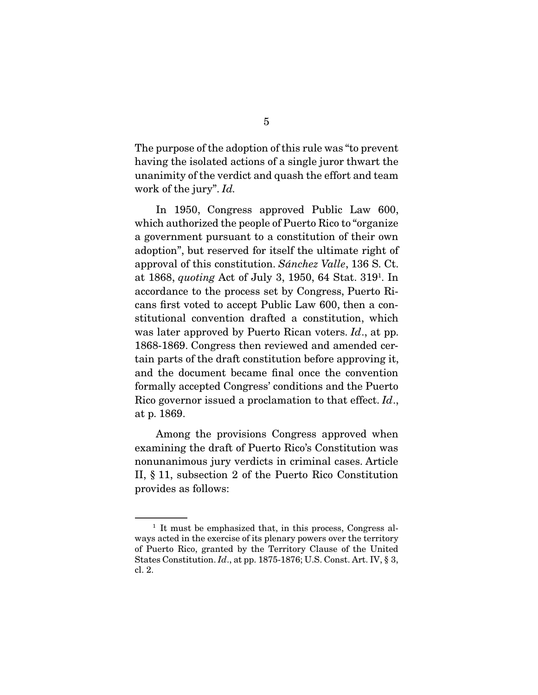The purpose of the adoption of this rule was "to prevent<br>having the isolated actions of a single juror thwart the unanimity of the verdict and quash the effort and team work of the jury".  $Id$ .

In 1950, Congress approved Public Law 600, which authorized the people of Puerto Rico to "organize" a government pursuant to a constitution of their own adoption", but reserved for itself the ultimate right of approval of this constitution.  $Sánchez$  Valle, 136 S. Ct. at 1868, *quoting* Act of July 3, 1950, 64 Stat. 319<sup>1</sup>. In accordance to the process set by Congress, Puerto Ricans first voted to accept Public Law 600, then a constitutional convention drafted a constitution, which was later approved by Puerto Rican voters.  $Id$ ., at pp. 1868-1860. Concress then reviewed and amended cor-1868-1869. Congress then reviewed and amended certain parts of the draft constitution before approving it, and the document became final once the convention formally accepted Congress' conditions and the Puerto Rico governor issued a proclamation to that effect.  $Id$ ., at p. 1869.

Among the provisions Congress approved when<br>examining the draft of Puerto Rico's Constitution was nonunanimous jury verdicts in criminal cases. Article II,  $\S 11$ , subsection 2 of the Puerto Rico Constitution provides as follows:  $p = 0$  . The state as  $p = 0$ 

 $^{\rm 1}$  It must be emphasized that, in this process, Congress always acted in the exercise of its plenary powers over the territory of Puerto Rico, granted by the Territory Clause of the United States Constitution.  $Id$ , at pp. 1875-1876; U.S. Const. Art. IV, § 3,  $cl$  2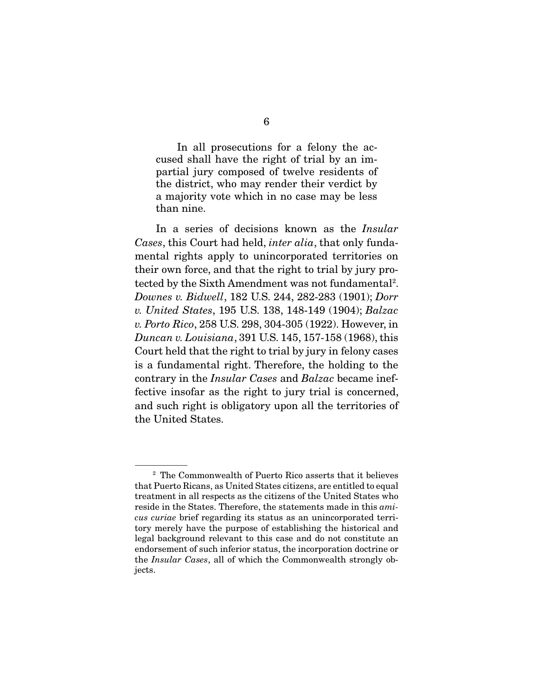In all prosecutions for a felony the ac-<br>cused shall have the right of trial by an impartial jury composed of twelve residents of the district, who may render their verdict by  $\frac{1}{2}$  a maiority vote which in no case may be less  $\frac{1}{2}$  may be less which is no case  $\frac{1}{2}$  . The less may be less than nine.

 In a series of decisions known as the Insular Cases, this Court had held, *inter alia*, that only funda-<br>mental rights apply to unincorporated territories on their own force, and that the right to trial by jury protected by the Sixth Amendment was not fundamental<sup>2</sup>. tected by the Sixth Amendment was not fundamental .<br>Downes v. Bidwell, 182 U.S. 244, 282-283 (1901); Dorr<br>v. United States, 195 U.S. 138, 148, 149 (1904); Balzac. v. United States, 195 U.S. 138, 148-149 (1904); Balzac v. Porto Rico, 258 U.S. 298, 304-305 (1922). However, in Duncan v. Louisiana, 391 U.S. 145, 157-158 (1968), this Court held that the right to trial by jury in felony cases is a fundamental right. Therefore, the holding to the for the fundamental right. Therefore, the holding of the contrary in the Insular Cases and Balzac became ineffective insofar as the right to jury trial is concerned, and such right is obligatory upon all the territories of the United States. the United States.

<sup>&</sup>lt;sup>2</sup> The Commonwealth of Puerto Rico asserts that it believes that Puerto Ricans, as United States citizens, are entitled to equal treatment in all respects as the citizens of the United States who reside in the States. Therefore, the statements made in this *ami-*<br>cus curiae brief regarding its status as an unincorporated terricus curiae brief regarding its status as an unincorporated territory merely have the purpose of establishing the historical and legal background relevant to this case and do not constitute an endorsement of such inferior status, the incorporation doctrine or endorsement of such interior status, the incorporation doctrine or the Insular Cases, all of which the Commonwealth strongly objects.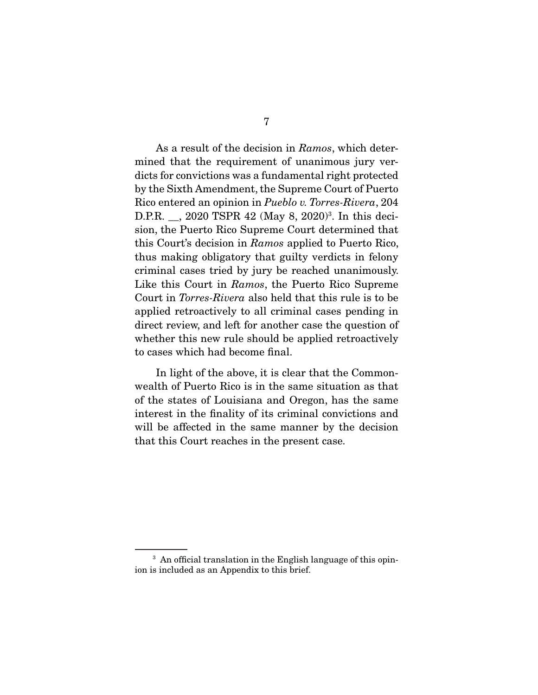As a result of the decision in Ramos, which deter-<br>mined that the requirement of unanimous jury verdicts for convictions was a fundamental right protected by the Sixth Amendment, the Supreme Court of Puerto Rico entered an opinion in *Pueblo v. Torres-Rivera*, 204<br>  $\overline{D}$  PP 2020 TSPP 42 (Mov. 8, 2020)<sup>3</sup>. In this deci-D.P.R. \_\_, 2020 TSPR 42 (May 8, 2020)<sup>3</sup>. In this decision, the Puerto Rico Supreme Court determined that this Court's decision in Ramos applied to Puerto Rico, thus making obligatory that guilty verdicts in felony criminal cases tried by jury be reached unanimously. Like this Court in Ramos, the Puerto Rico Supreme<br>Court in Torres Piugra also hold that this rule is to be Court in *Torres-Rivera* also held that this rule is to be applied retroactively to all criminal cases pending in direct review, and left for another case the question of whether this new rule should be applied retroactively to cases which had become final. to cases which had become final.

In light of the above, it is clear that the Common-<br>wealth of Puerto Rico is in the same situation as that of the states of Louisiana and Oregon, has the same interest in the finality of its criminal convictions and will be affected in the same manner by the decision  $\frac{1}{\pi}$  that this Court reaches in the present case that this Court reaches in the present case.

 $3$  An official translation in the English language of this opin-<br>ion is included as an Appendix to this brief. ion is included as an Appendix to this brief.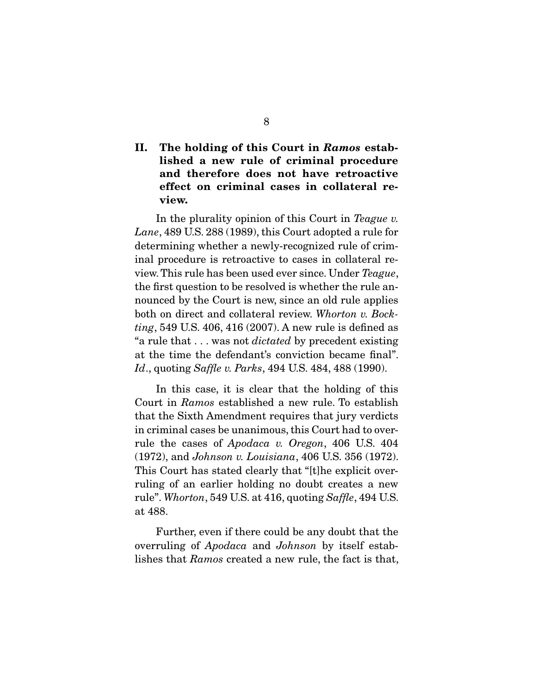### **II. The holding of this Court in** *Ramos* **established a new rule of criminal procedure and therefore does not have retroactive effect on criminal cases in collateral review.**

In the plurality opinion of this Court in Teague v. Lane, 489 U.S. 288 (1989), this Court adopted a rule for determining whether a newly-recognized rule of criminal procedure is retroactive to cases in collateral review. This rule has been used ever since. Under Teague, the first question to be resolved is whether the rule an-<br>nounced by the Court is new, since an old rule applies both on direct and collateral review. Whorton v. Bock-<br>ting 540 U.S. 406, 416 (2007). A pow rule is defined as ting, 549 U.S. 406, 416 (2007). A new rule is defined as "a rule that . . . was not *dictated* by precedent existing at the time the defendant's conviction became final". at the time the defendant's conviction became final". Id., quoting Saffle v. Parks, 494 U.S. 484, 488 (1990).

Court in Ramos established a new rule. To establish<br>that the Sixth Amondment requires that jury verdicts that the Sixth Amendment requires that jury verdicts rule the cases of  $Apodaca$  v. Oregon, 406 U.S. 404<br>(1979) and Johnson v. Louisiang 406 U.S. 356 (1979)  $(1972)$ , and *Johnson v. Louisiana*, 406 U.S. 356  $(1972)$ .<br>This Court has stated clearly that "[t]he explicit overruling of an earlier holding no doubt creates a new ruling of an earlier holding no doubt creates a new rule". Whorton, 549 U.S. at 416, quoting Saffle, 494 U.S. at 488.<br>...

overruling of  $Apodaca$  and  $Johnson$  by itself estab-<br>ligher that  $Parnoc$  created a new rule the fect is that lishes that Ramos created a new rule, the fact is that,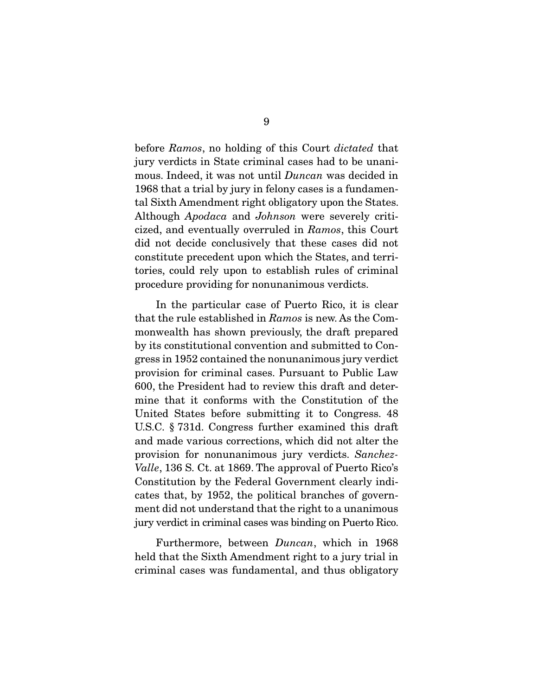before *Ramos*, no holding of this Court *dictated* that jury verdicts in State criminal cases had to be unanimous. Indeed, it was not until  $Duncan$  was decided in  $1068$  that a trial by jury in folony associs a fundamen 1968 that a trial by jury in felony cases is a fundamental Sixth Amendment right obligatory upon the States. Although Apodaca and Johnson were severely criti-<br>gized. and eventually everywhed in Barnes, this Court cized, and eventually overruled in Ramos, this Court did not decide conclusively that these cases did not constitute precedent upon which the States, and territories, could rely upon to establish rules of criminal  $\frac{1}{2}$  to  $\frac{1}{2}$  if  $\frac{1}{2}$  is compared to establish rules of conditions for populations variates procedure providing for nonunanimous verdicts.

that the rule established in  $Ramos$  is new. As the Com-<br>monworlth has shown proviously the draft propored monwealth has shown previously, the draft prepared<br>by its constitutional convention and submitted to Congress in 1952 contained the nonunanimous jury verdict provision for criminal cases. Pursuant to Public Law 600, the President had to review this draft and determine that it conforms with the Constitution of the United States before submitting it to Congress. 48 U.S.C.  $\S 731d$ . Congress further examined this draft and made various corrections, which did not alter the provision for nonunanimous jury verdicts. Sanchez-<br> $V_{\alpha}$ lle 136 S, Ct, et 1869. The approval of Puerte Biges Valle, 136 S. Ct. at 1869. The approval of Puerto Rico's Constitution by the Federal Government clearly indicates that, by 1952, the political branches of government did not understand that the right to a unanimous jury verdict in criminal cases was binding on Puerto Rico.  $j$ ury verdict in cases was binding on  $P$ uerto  $P$ uerto  $P$ 

Furthermore, between *Duncan*, which in 1968 held that the Sixth Amendment right to a jury trial in criminal cases was fundamental, and thus obligatory criminal cases was fundamental, and thus obligatory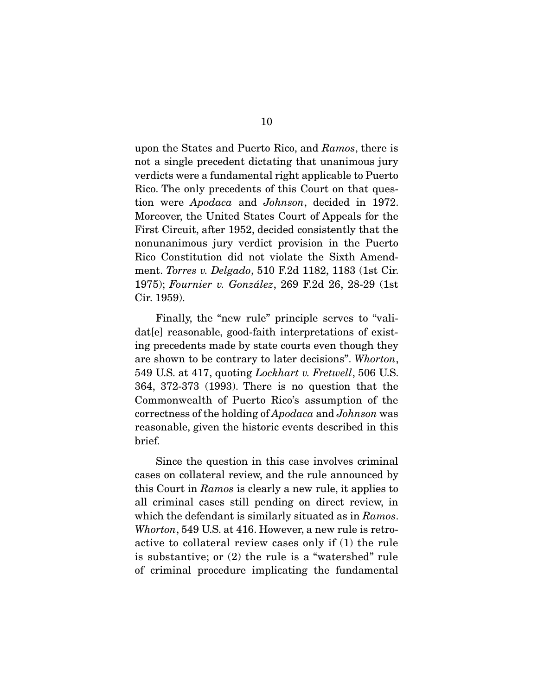upon the States and Puerto Rico, and *Ramos*, there is not a single precedent dictating that unanimous jury verdicts were a fundamental right applicable to Puerto Rico. The only precedents of this Court on that question were *Apodaca* and *Johnson*, decided in 1972. Moreover, the United States Court of Appeals for the nonunanimous jury verdict provision in the Puerto Rico Constitution did not violate the Sixth Amendment. Torres v. Delgado, 510 F.2d 1182, 1183 (1st Cir.<br>1975): Fournier v. González, 269 F.2d 26, 28, 29, 01st 1975); Fournier v. González, 269 F.2d 26, 28-29 (1st  $\frac{1}{2}$ 

Finally, the "new rule" principle serves to "vali-<br>dat[e] reasonable, good-faith interpretations of existing precedents made by state courts even though they are shown to be contrary to later decisions". Whorton, 549 U.S. at 417, quoting *Lockhart v. Fretwell*, 506 U.S. 364, 372-373 (1993). There is no question that the Commonwealth of Puerto Rico's assumption of the correctness of the holding of Apodaca and Johnson was reasonable, given the historic events described in the historic events described in the historic events of the historic events of the historic events of the historic events of the historic events of the historic events of brief.

Since the question in this case involves criminal cases on collateral review, and the rule announced by this Court in Ramos is clearly a new rule, it applies to<br>all griminal gases still pending an direct review in which the defendant is similarly situated as in  $Ramos$ .<br>Where  $549$  US et  $416$  Hewever a new rule is retre Whorton, 549 U.S. at 416. However, a new rule is retro-<br>active to collateral review cases only if (1) the rule is substantive; or  $(2)$  the rule is a "watershed" rule  $\alpha$  for  $\alpha$  a  $\beta$  the rule is a  $\alpha$  or  $\alpha$  or  $\alpha$  and  $\alpha$  a  $\alpha$  or  $\alpha$  and  $\alpha$   $\beta$  and  $\alpha$   $\beta$   $\alpha$   $\beta$   $\alpha$   $\beta$   $\alpha$   $\beta$   $\alpha$   $\beta$   $\alpha$   $\beta$   $\alpha$   $\beta$   $\alpha$   $\beta$   $\alpha$   $\beta$   $\alpha$   $\beta$   $\alpha$   $\beta$   $\alpha$   $\beta$   $\alpha$ of criminal procedure implicating the fundamental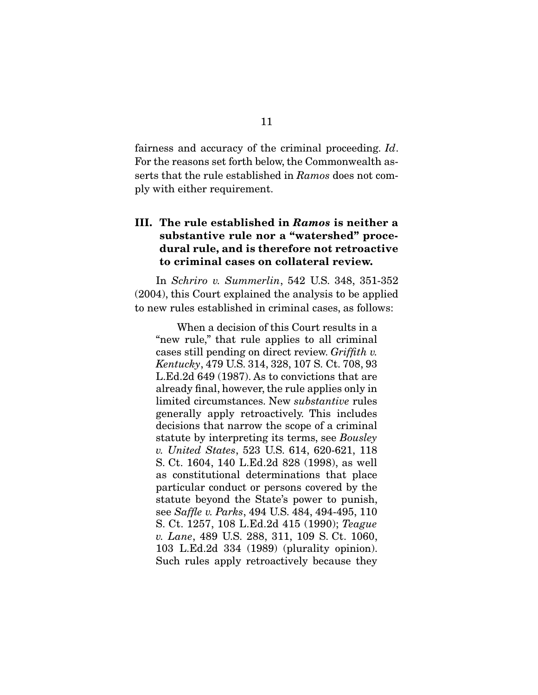fairness and accuracy of the criminal proceeding. Id.<br>For the reasons set forth below, the Commonwealth asserts that the rule established in Ramos does not com- $\mathbf{P}$  with either requirement.

#### **III. The rule established in** *Ramos* **is neither a substantive rule nor a "watershed" procedural rule, and is therefore not retroactive to criminal cases on collateral review.**

In Schriro v. Summerlin, 542 U.S. 348, 351-352 (2004), this Court explained the analysis to be applied to new rules established in criminal cases, as follows: to new rules established in criminal cases, as follows:

When a decision of this Court results in a<br>"new rule," that rule applies to all criminal" cases still pending on direct review. Griffith v.<br>
Kentucky, 479 U.S. 314, 328, 107 S. Ct. 708, 93 Kentucky, 479 U.S. 314, 328, 107 S. Ct. 708, 93 already final, however, the rule applies only in  $\lim_{\alpha}$  limited circumstances. New *substantive* rules  $\lim_{\alpha}$  retroactively. This includes generally apply retroactively. This includes statute by interpreting its terms, see Bousley<br>u. United States 523 U.S. 614, 620-621, 118 v. United States, 523 U.S. 614, 620-621, 118<br>S. Ct. 1604, 140 L.Ed.2d 828 (1998), as well as constitutional determinations that place particular conduct or persons covered by the statute beyond the State's power to punish, see Saffle v. Parks, 494 U.S. 484, 494-495, 110<br>S. Ct. 1257, 108 L. Ed. 2d. 415 (1990): Teague S. Ct. 1257, 108 L.Ed.2d 415 (1990); Teague v. Lane, 489 U.S. 288, 311, 109 S. Ct. 1060, 103 L.Ed.2d 334 (1989) (plurality opinion). Such rules apply retroactively because they  $S_{\text{S}}$  rules apply retroactively because they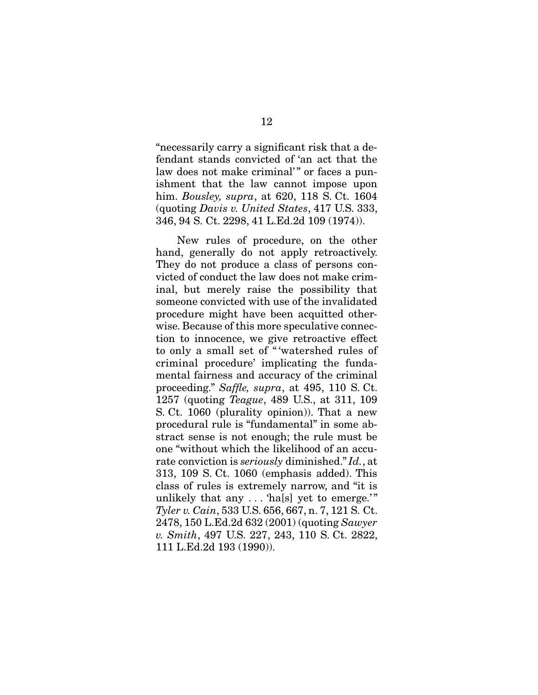"necessarily carry a significant risk that a delaw does not make criminal'" or faces a punishment that the law cannot impose upon  $\lim_{t \to \infty}$  Bousley, supra, at 620, 118 S. Ct. 1604<br>(quoting Davis v United States 417 US 333 (quoting Davis v. United States, 417 U.S. 333, 346, 94 S. Ct. 2298, 41 L.Ed.2d 109 (1974)).

New rules of procedure, on the other<br>hand, generally do not apply retroactively. They do not produce a class of persons convicted of conduct the law does not make criminal, but merely raise the possibility that someone convicted with use of the invalidated procedure might have been acquitted otherwise. Because of this more speculative connection to innocence, we give retroactive effect to only a small set of "'watershed rules of criminal procedure' implicating the fundamental fairness and accuracy of the criminal proceeding." Saffle, supra, at  $495$ ,  $110$  S. Ct.<br>1257 (quoting Teague,  $489$  U.S. at 311, 109) 1257 (quoting *Teague*, 489 U.S., at 311, 109 S. Ct. 1060 (plurality opinion)). That a new procedural rule is "fundamental" in some abstract sense is not enough; the rule must be one "without which the likelihood of an accurate conviction is *seriously* diminished." Id., at<br>313 109 S. Ct. 1060 (emphasis added) This 313, 109 S. Ct. 1060 (emphasis added). This unlikely that any  $\dots$  hale yet to emerge."  $T$ yler v. Cain, 533 U.S. 656, 667, n. 7, 121 S. Ct.<br>2478–150 L Ed 2d 632 (2001) (quoting Sauver 2478, 150 L.Ed.2d 632 (2001) (quoting Sawyer v. Smith, 497 U.S. 227, 243, 110 S. Ct. 2822, 111 L.Ed.2d 193 (1990)). 111 **L.Ed.2d 193 (1990)**.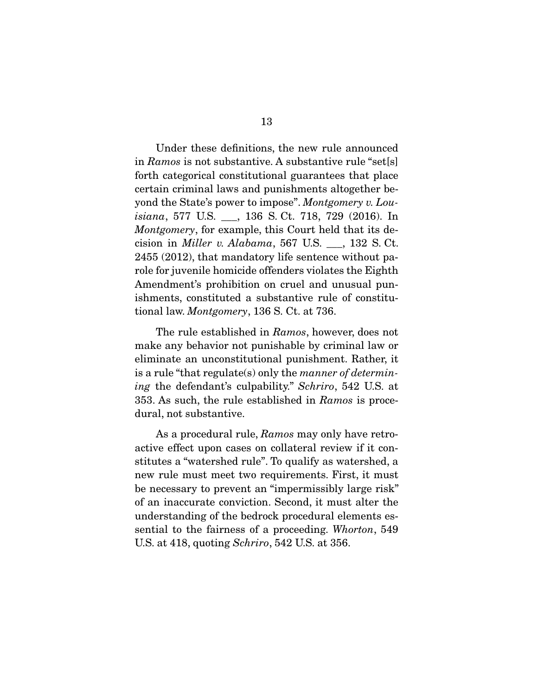in Ramos is not substantive. A substantive rule "set $[s]$ forth categorical constitutional guarantees that place certain criminal laws and punishments altogether beyond the State's power to impose". Montgomery v. Lou-<br>isiang.  $577$  US  $_{136}$  S Ct. 718 729 (2016). In isiana, 577 U.S. \_\_\_, 136 S. Ct. 718, 729 (2016). In Montgomery, for example, this Court held that its decision in *Miller v. Alabama*, 567 U.S.  $\_\_$ , 132 S. Ct. 2455 (2012), that mandatory life sentence without parole for juvenile homicide offenders violates the Eighth Amendment's prohibition on cruel and unusual punishments, constituted a substantive rule of constituishments, constituted a substantive rule of constitu-tional law. Montgomery, 136 S. Ct. at 736.

The rule established in Ramos, however, does not make any behavior not punishable by criminal law or eliminate an unconstitutional punishment. Rather, it is a rule "that regulate(s) only the manner of determin-<br>ing the defendent's qulpebility." Sekring, 542 U.S. et ing the defendant's culpability." Schriro, 542 U.S. at 353. As such, the rule established in Ramos is procedural, not substantive.

As a procedural rule, Ramos may only have retro-<br>active effect upon cases on collateral review if it constitutes a "watershed rule". To qualify as watershed, a new rule must meet two requirements. First, it must be necessary to prevent an "impermissibly large risk" of an inaccurate conviction. Second, it must alter the understanding of the bedrock procedural elements essential to the fairness of a proceeding. Whorton, 549 U.S. at 418, quoting Schriro, 542 U.S. at 356.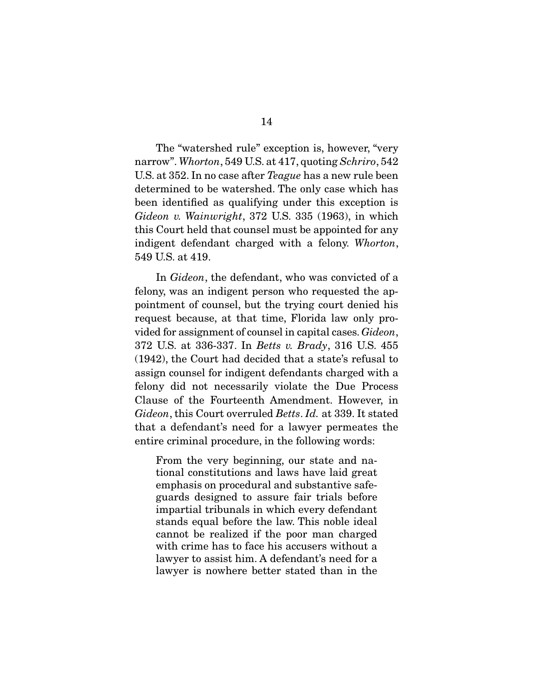$\frac{1}{18}$  arrow". Whorton, 549 U.S. at 417, quoting Schriro, 542 U.S. at 352. In no case after *Teague* has a new rule been determined to be watershed. The only case which has been identified as qualifying under this exception is  $bideon$  v. Wainwright, 372 U.S. 335 (1963), in which this Court hold that coursel must be appointed for any indigent defendant charged with a felony. Whorton, 549 U.S. at 419.

In *Gideon*, the defendant, who was convicted of a felony, was an indigent person who requested the appointment of counsel, but the trying court denied his request because, at that time, Florida law only provided for assignment of counsel in capital cases.  $Gideon$ ,<br>272 US et 226 227 In Rette v. Brady, 216 US 455 372 U.S. at 336-337. In *Betts v. Brady*, 316 U.S. 455 (1942), the Court had decided that a state's refusal to assign counsel for indigent defendants charged with a felony did not necessarily violate the Due Process Clause of the Fourteenth Amendment. However, in Gideon, this Court overruled Betts. Id. at 339. It stated that a defendant's need for a lawyer permeates the  $\frac{1}{\sqrt{1-\frac{1}{\sqrt{1-\frac{1}{\sqrt{1-\frac{1}{\sqrt{1-\frac{1}{\sqrt{1-\frac{1}{\sqrt{1-\frac{1}{\sqrt{1-\frac{1}{\sqrt{1-\frac{1}{\sqrt{1-\frac{1}{\sqrt{1-\frac{1}{\sqrt{1-\frac{1}{\sqrt{1-\frac{1}{\sqrt{1-\frac{1}{\sqrt{1-\frac{1}{\sqrt{1-\frac{1}{\sqrt{1-\frac{1}{\sqrt{1-\frac{1}{\sqrt{1-\frac{1}{\sqrt{1-\frac{1}{\sqrt{1-\frac{1}{\sqrt{1-\frac{1}{\sqrt{1-\frac{1}{\sqrt{1-\frac{1}{\sqrt{1-\frac{1$ entire comparison procedure, in the following words:

From the very beginning, our state and national constitutions and laws have laid great emphasis on procedural and substantive safeguards designed to assure fair trials before impartial tribunals in which every defendant stands equal before the law. This noble ideal cannot be realized if the poor man charged with crime has to face his accusers without a lawyer to assist him. A defendant's need for a lawyer is nowhere better stated than in the lawyer is nowhere better stated than in the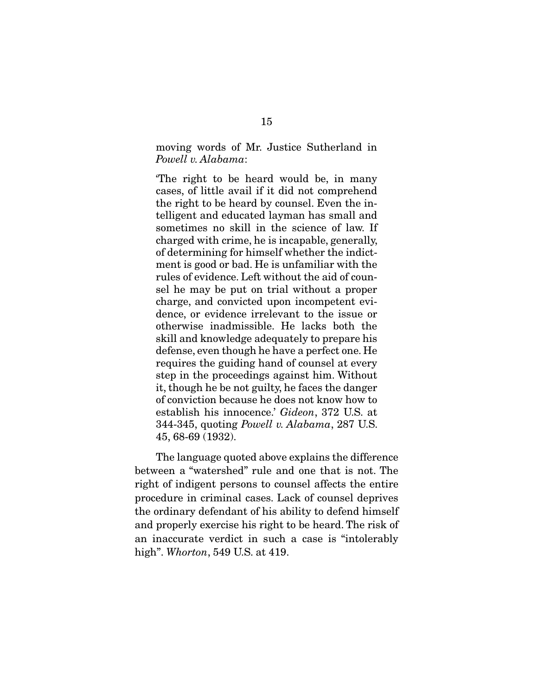moving words of Mr. Justice Sutherland in Powell v. Alabama:

The right to be heard would be, in many cases, of little avail if it did not comprehend the right to be heard by counsel. Even the intelligent and educated layman has small and sometimes no skill in the science of law. If charged with crime, he is incapable, generally, of determining for himself whether the indictment is good or bad. He is unfamiliar with the rules of evidence. Left without the aid of counsel he may be put on trial without a proper charge, and convicted upon incompetent evidence, or evidence irrelevant to the issue or otherwise inadmissible. He lacks both the skill and knowledge adequately to prepare his defense, even though he have a perfect one. He requires the guiding hand of counsel at every. step in the proceedings against him. Without it, though he be not guilty, he faces the danger of conviction because he does not know how to establish his innocence.'  $Gideon$ , 372 U.S. at  $344-345$  quoting  $Pouell$  y Alghama 287 U.S. 344-345, quoting Powell v. Alabama, 287 U.S. 45, 68-69 (1932).  $-5, 65, 68, (-15, -1)$ .

The language quoted above explains the difference<br>between a "watershed" rule and one that is not. The right of indigent persons to counsel affects the entire procedure in criminal cases. Lack of counsel deprives the ordinary defendant of his ability to defend himself and properly exercise his right to be heard. The risk of an inaccurate verdict in such a case is "intolerably high". Whorton, 549 U.S. at 419.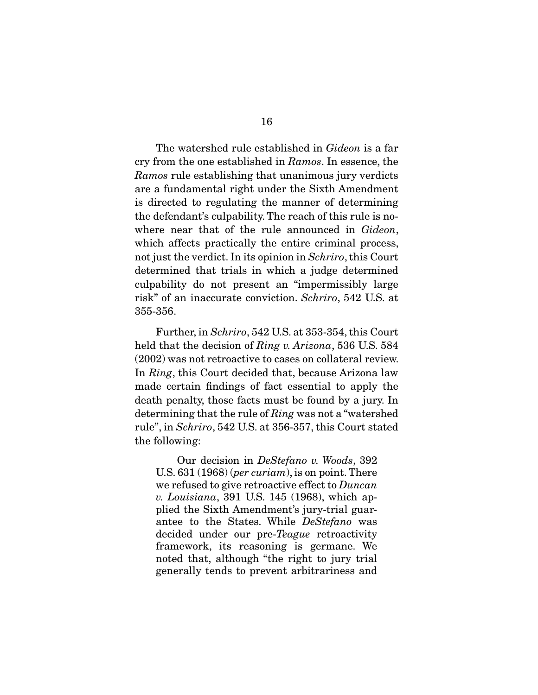The watershed rule established in *Gideon* is a far cry from the one established in Ramos. In essence, the Ramos rule establishing that unanimous jury verdicts<br>are a fundamental right under the Sixth Amendment is directed to regulating the manner of determining the defendant's culpability. The reach of this rule is nowhere near that of the rule announced in *Gideon*,<br>which affects practically the optive criminal process not just the verdict. In its opinion in Schriro, this Court<br>determined that trials in which a judge determined determined that trials in which a judge determined<br>culpability do not present an "impermissibly large risk" of an inaccurate conviction. Schriro, 542 U.S. at  $255, 256$ 355-356.

 Further, in Schriro, 542 U.S. at 353-354, this Court held that the decision of *Ring v. Arizona*, 536 U.S. 584 (2002) was not retroactive to cases on collateral review. In  $Ring$ , this Court decided that, because Arizona law<br>made extein findings of feet essential to apply the made certain findings of fact essential to apply the death penalty, those facts must be found by a jury. In determining that the rule of  $Ring$  was not a "watershed" in  $Schr$  and  $S42$  IIS at 356, 357, this Court stated rule", in Schriro, 542 U.S. at 356-357, this Court stated the following:

 Our decision in DeStefano v. Woods, 392 U.S.  $631(1968)$  (*per curiam*), is on point. There we refused to give retroactive effect to *Duncan* v. Louisiana, 391 U.S. 145 (1968), which applied the Sixth Amendment's jury-trial guarantee to the States. While  $\textit{DeStefano}$  was<br>decided under our pre-*Teggue* retroactivity decided under our pre-*Teague* retroactivity<br>framework, its reasoning is germane. We noted that, although "the right to jury trial generally tends to prevent arbitrariness and  $\beta$  tends to prevent arbitrariness and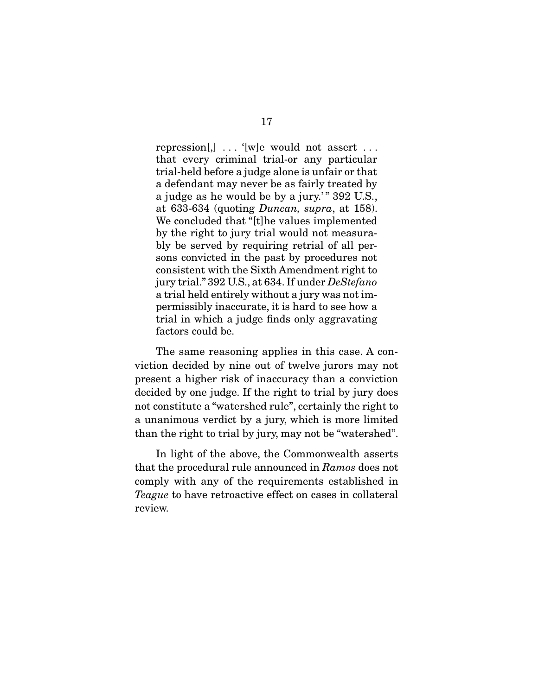repression[,]  $\dots$  '[w]e would not assert  $\dots$  that every criminal trial-or any particular trial-held before a judge alone is unfair or that a defendant may never be as fairly treated by a judge as he would be by a jury."  $392$  U.S., at 633-634 (quoting  $D$ uncan, supra, at 158).<br>We concluded that "[t]he values implemented We concluded that "[t]he values implemented<br>by the right to jury trial would not measurably be served by requiring retrial of all persons convicted in the past by procedures not consistent with the Sixth Amendment right to  $\frac{1}{2}$  jury trial." 392 U.S., at 634. If under *DeStefano*<br>a trial held entirely without a jury was not ima trial held entirely without a jury was not imtrial in which a judge finds only aggravating factors could be. factors could be.

The same reasoning applies in this case. A conviction decided by nine out of twelve jurors may not present a higher risk of inaccuracy than a conviction decided by one judge. If the right to trial by jury does not constitute a "watershed rule", certainly the right to a unanimous verdict by a jury, which is more limited  $\frac{1}{2}$  is more limited by  $\frac{1}{2}$  in  $\frac{1}{2}$  for  $\frac{1}{2}$  more not be "we to relaxed by"  $t_{\text{max}}$  that right to trial by jury, may not be "watershed".

that the procedural rule announced in Ramos does not Teague to have retroactive effect on cases in collateral review. review.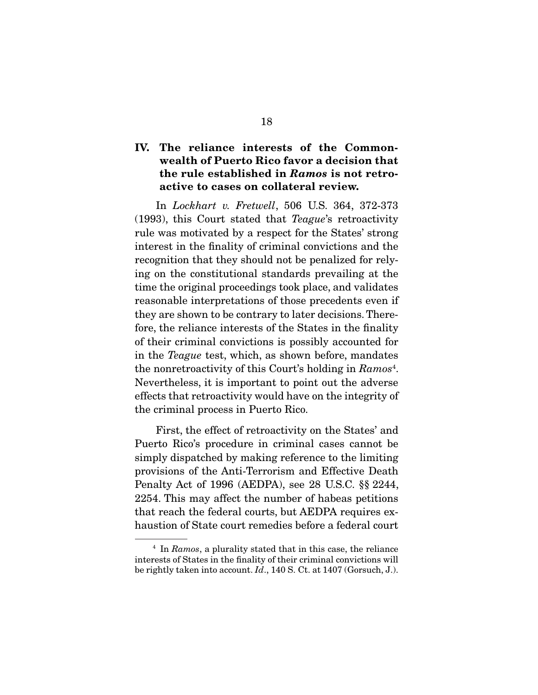#### **IV. The reliance interests of the Commonwealth of Puerto Rico favor a decision that the rule established in** *Ramos* **is not retroactive to cases on collateral review.**

 In Lockhart v. Fretwell, 506 U.S. 364, 372-373 (1993), this Court stated that  $T_{\text{edge}}$ 's retroactivity rule was motivated by a respect for the States' strong interest in the finality of criminal convictions and the recognition that they should not be penalized for relying on the constitutional standards prevailing at the time the original proceedings took place, and validates reasonable interpretations of those precedents even if they are shown to be contrary to later decisions. Therefore, the reliance interests of the States in the finality of their criminal convictions is possibly accounted for in the Teague test, which, as shown before, mandates<br>the perpetreestivity of this Court's holding in Barnee<sup>4</sup> the nonretroactivity of this Court's holding in  $Ramos<sup>4</sup>$ . Nevertheless, it is important to point out the adverse effects that retroactivity would have on the integrity of effectivity would have on the integrity of the integrity of the integrity of the integrity of the integrity of  $\mathbf{F}_{\mathbf{z}}$ the criminal process in Puerto Rico.

First, the effect of retroactivity on the States' and<br>Puerto Rico's procedure in criminal cases cannot be simply dispatched by making reference to the limiting provisions of the Anti-Terrorism and Effective Death Penalty Act of 1996 (AEDPA), see 28 U.S.C.  $\S$  2244, 2254. This may affect the number of habeas petitions that reach the federal courts, but AEDPA requires exhaustion of State court remedies before a federal court haustice court remedies before a federal court remedies

 $4$  In  $Ramos$ , a plurality stated that in this case, the reliance interests of States in the finality of their criminal convictions will be rightly taken into account.  $Id.$ , 140 S. Ct. at 1407 (Gorsuch, J.).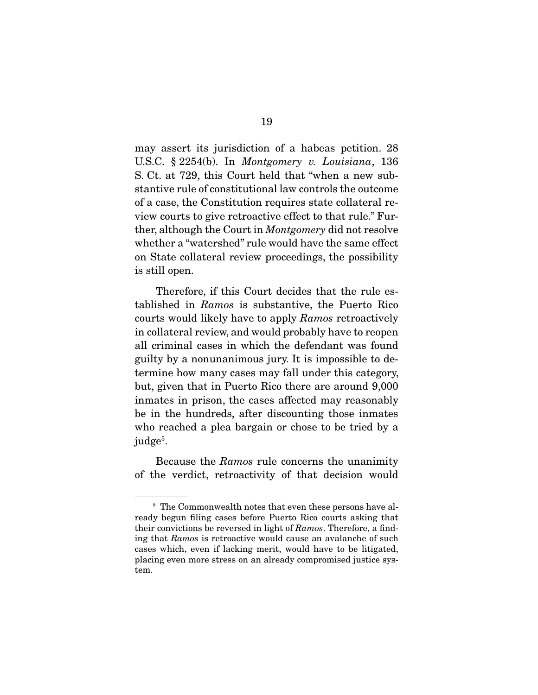U.S.C.  $\S$  2254(b). In Montgomery v. Louisiana, 136 S. Ct. at 729, this Court held that "when a new subof a case, the Constitution requires state collateral review courts to give retroactive effect to that rule." Further, although the Court in *Montgomery* did not resolve whether a "watershed" rule would have the same effect<br>on State collateral review proceedings, the possibility is still open. is still open.

 $T_{\text{t}}$  tablished in *Ramos* is substantive, the Puerto Rico<br>courts would likely have to apply *Ramos* retroactively courts would likely have to apply Ramos retroactively<br>in collateral review, and would probably have to reopen all criminal cases in which the defendant was found guilty by a nonunanimous jury. It is impossible to determine how many cases may fall under this category, but, given that in Puerto Rico there are around 9,000 in that in prison, the cases affected may reasonably be in the hundreds, after discounting those inmates who reached a plea bargain or chose to be tried by a where  $\sum_{i=1}^{n}$  reached  $\sum_{i=1}^{n}$  and  $\sum_{i=1}^{n}$  and  $\sum_{i=1}^{n}$ judge<sup>5</sup>.

Because the *Ramos* rule concerns the unanimity<br>of the verdict, retroactivity of that decision would  $\alpha$  the vertex  $\alpha$   $\beta$  of the vertex decision would would would would would be a set of the vertex  $\alpha$ 

<sup>&</sup>lt;sup>5</sup> The Commonwealth notes that even these persons have already begun filing cases before Puerto Rico courts asking that their convictions be reversed in light of  $Ramos$ . Therefore, a find-<br>ing that  $Ramos$  is retroactive would cause an avalanche of such ing that Ramos is retroactive would cause an avalanche of such cases which, even if lacking merit, would have to be litigated, cases which, even if meaning meeting, would have to be inequired, placing even more stress on an already compromised justice sys-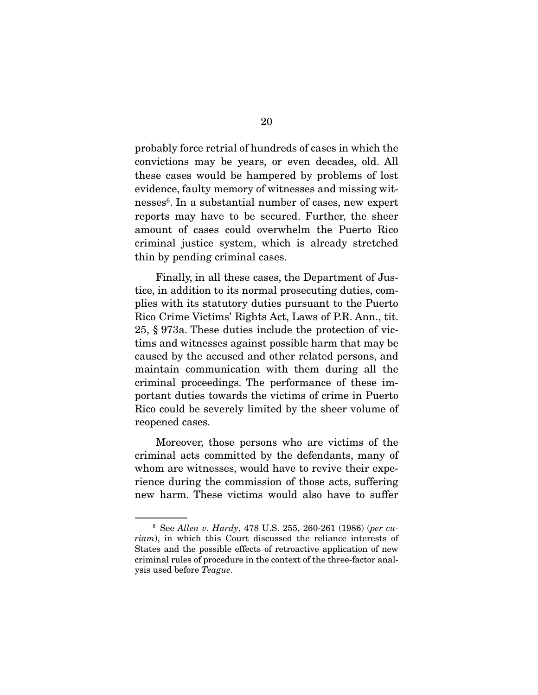probably force retrial of hundreds of cases in which the these cases would be hampered by problems of lost evidence, faulty memory of witnesses and missing witnesses<sup>6</sup>. In a substantial number of cases, new expert nesses: in a substantial number of cases, new expert<br>reports moy hove to be seeured. Further the sheer amount of cases could overwhelm the Puerto Rico criminal justice system, which is already stretched thin by pending criminal cases.  $\sum_{i=1}^{n} p_i = \sum_{i=1}^{n} q_i$ 

Finally, in all these cases, the Department of Justice, in addition to its normal prosecuting duties, complies with its statutory duties pursuant to the Puerto Rico Crime Victims' Rights Act, Laws of P.R. Ann., tit.  $25, § 973a$ . These duties include the protection of victims and witnesses against possible harm that may be caused by the accused and other related persons, and maintain communication with them during all the criminal proceedings. The performance of these important duties towards the victims of crime in Puerto portant during the victims of critical control of critical purposes to control of crime of crime of crime in Pu  $R = \frac{1}{2}$ reopened cases.

Moreover, those persons who are victims of the criminal acts committed by the defendants, many of whom are witnesses, would have to revive their experience during the commission of those acts, suffering new harm. These victims would also have to suffer new harm. These victims would also have to suffer

<sup>6</sup> See Allen v. Hardy, 478 U.S. 255, 260-261 (1986) (per cu $riam$ ), in which this Court discussed the reliance interests of States and the possible effects of retroactive application of new criminal rules of procedure in the context of the three-factor analcriminal rules of procedure in the context of the three-factor anal-ysis used before Teague.